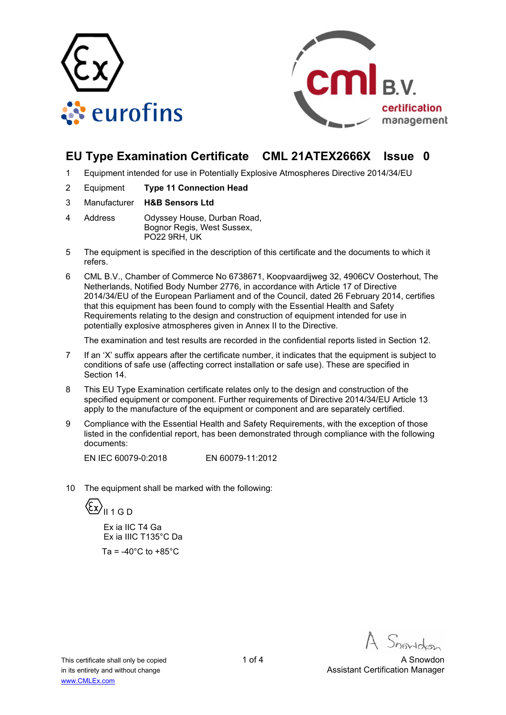



## **EU Type Examination Certificate CML 21ATEX2666X Issue 0**

- 1 Equipment intended for use in Potentially Explosive Atmospheres Directive 2014/34/EU
- 2 Equipment **Type 11 Connection Head**
- 3 Manufacturer **H&B Sensors Ltd**
- 4 Address Odyssey House, Durban Road, Bognor Regis, West Sussex, PO22 9RH, UK
- 5 The equipment is specified in the description of this certificate and the documents to which it refers.
- 6 CML B.V., Chamber of Commerce No 6738671, Koopvaardijweg 32, 4906CV Oosterhout, The Netherlands, Notified Body Number 2776, in accordance with Article 17 of Directive 2014/34/EU of the European Parliament and of the Council, dated 26 February 2014, certifies that this equipment has been found to comply with the Essential Health and Safety Requirements relating to the design and construction of equipment intended for use in potentially explosive atmospheres given in Annex II to the Directive.

The examination and test results are recorded in the confidential reports listed in Section 12.

- 7 If an 'X' suffix appears after the certificate number, it indicates that the equipment is subject to conditions of safe use (affecting correct installation or safe use). These are specified in Section 14.
- 8 This EU Type Examination certificate relates only to the design and construction of the specified equipment or component. Further requirements of Directive 2014/34/EU Article 13 apply to the manufacture of the equipment or component and are separately certified.
- 9 Compliance with the Essential Health and Safety Requirements, with the exception of those listed in the confidential report, has been demonstrated through compliance with the following documents:

EN IEC 60079-0:2018 EN 60079-11:2012

10 The equipment shall be marked with the following:



 Ex ia IIC T4 Ga Ex ia IIIC T135°C Da Ta =  $-40^{\circ}$ C to  $+85^{\circ}$ C

This certificate shall only be copied 1 of 4 A Snowdon 1 of 4 A Snowdon in its entirety and without change **Assistant Certification Manager** Assistant Certification Manager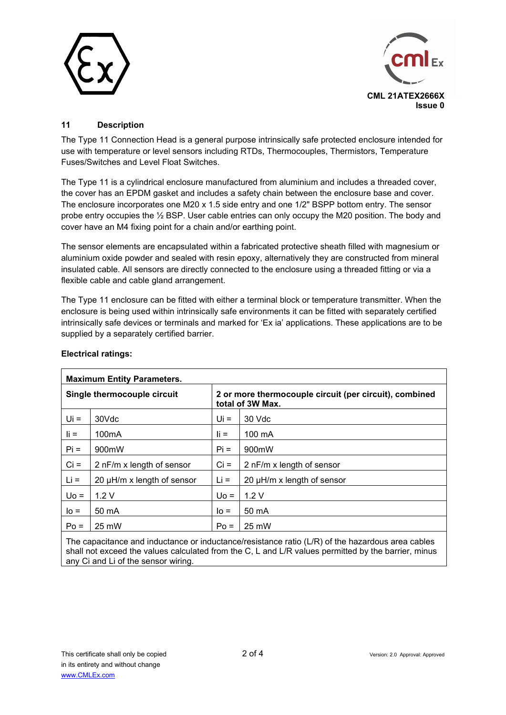



## **11 Description**

The Type 11 Connection Head is a general purpose intrinsically safe protected enclosure intended for use with temperature or level sensors including RTDs, Thermocouples, Thermistors, Temperature Fuses/Switches and Level Float Switches.

The Type 11 is a cylindrical enclosure manufactured from aluminium and includes a threaded cover, the cover has an EPDM gasket and includes a safety chain between the enclosure base and cover. The enclosure incorporates one M20 x 1.5 side entry and one 1/2" BSPP bottom entry. The sensor probe entry occupies the ½ BSP. User cable entries can only occupy the M20 position. The body and cover have an M4 fixing point for a chain and/or earthing point.

The sensor elements are encapsulated within a fabricated protective sheath filled with magnesium or aluminium oxide powder and sealed with resin epoxy, alternatively they are constructed from mineral insulated cable. All sensors are directly connected to the enclosure using a threaded fitting or via a flexible cable and cable gland arrangement.

The Type 11 enclosure can be fitted with either a terminal block or temperature transmitter. When the enclosure is being used within intrinsically safe environments it can be fitted with separately certified intrinsically safe devices or terminals and marked for 'Ex ia' applications. These applications are to be supplied by a separately certified barrier.

| <b>Maximum Entity Parameters.</b> |                            |                                                                            |                                 |  |  |
|-----------------------------------|----------------------------|----------------------------------------------------------------------------|---------------------------------|--|--|
| Single thermocouple circuit       |                            | 2 or more thermocouple circuit (per circuit), combined<br>total of 3W Max. |                                 |  |  |
| $Ui =$                            | 30Vdc                      | Ui =                                                                       | 30 Vdc                          |  |  |
| $\mathbf{I}$ i =                  | 100 <sub>m</sub> A         | $\mathbf{I}$ i =                                                           | $100 \text{ mA}$                |  |  |
| $Pi =$                            | 900mW                      | $Pi =$                                                                     | 900mW                           |  |  |
| $Ci =$                            | 2 nF/m x length of sensor  | $Ci =$                                                                     | 2 nF/m x length of sensor       |  |  |
| $Li =$                            | 20 µH/m x length of sensor | $Li =$                                                                     | 20 $\mu$ H/m x length of sensor |  |  |
| $U_0 =$                           | 1.2V                       | $U_0 =$                                                                    | 1.2V                            |  |  |
| $I_0 =$                           | 50 mA                      | $IO =$                                                                     | 50 mA                           |  |  |
| $Po =$                            | 25 mW                      | $Po =$                                                                     | 25 mW                           |  |  |

#### **Electrical ratings:**

The capacitance and inductance or inductance/resistance ratio (L/R) of the hazardous area cables shall not exceed the values calculated from the C, L and L/R values permitted by the barrier, minus any Ci and Li of the sensor wiring.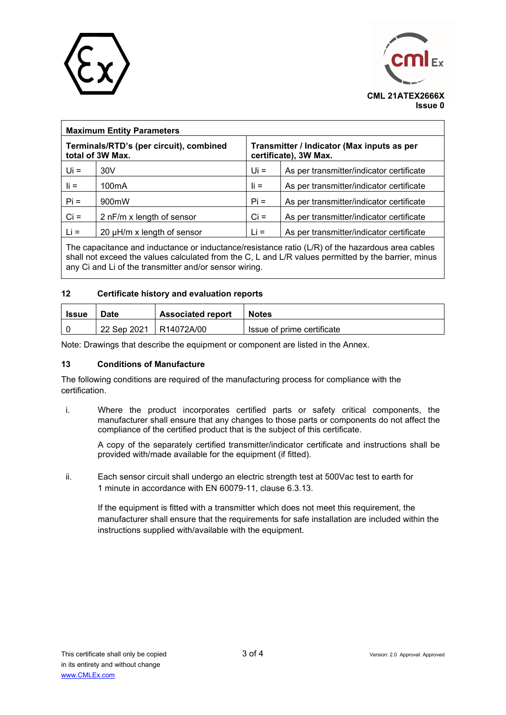



| <b>Maximum Entity Parameters</b>                            |                                 |                                                                     |                                          |  |  |
|-------------------------------------------------------------|---------------------------------|---------------------------------------------------------------------|------------------------------------------|--|--|
| Terminals/RTD's (per circuit), combined<br>total of 3W Max. |                                 | Transmitter / Indicator (Max inputs as per<br>certificate), 3W Max. |                                          |  |  |
| $Ui =$                                                      | 30V                             | $Ui =$                                                              | As per transmitter/indicator certificate |  |  |
| $\mathbf{I}$ i =                                            | 100 <sub>m</sub> A              | $\mathbf{I}$ i =                                                    | As per transmitter/indicator certificate |  |  |
| $Pi =$                                                      | 900mW                           | $Pi =$                                                              | As per transmitter/indicator certificate |  |  |
| $Ci =$                                                      | 2 nF/m x length of sensor       | $Ci =$                                                              | As per transmitter/indicator certificate |  |  |
| $Li =$                                                      | 20 $\mu$ H/m x length of sensor | $Li =$                                                              | As per transmitter/indicator certificate |  |  |

The capacitance and inductance or inductance/resistance ratio (L/R) of the hazardous area cables shall not exceed the values calculated from the C, L and L/R values permitted by the barrier, minus any Ci and Li of the transmitter and/or sensor wiring.

#### **12 Certificate history and evaluation reports**

| <b>Issue</b> | Date        | <b>Associated report</b> | <b>Notes</b>               |
|--------------|-------------|--------------------------|----------------------------|
|              | 22 Sep 2021 | R14072A/00               | Issue of prime certificate |

Note: Drawings that describe the equipment or component are listed in the Annex.

#### **13 Conditions of Manufacture**

The following conditions are required of the manufacturing process for compliance with the certification.

i. Where the product incorporates certified parts or safety critical components, the manufacturer shall ensure that any changes to those parts or components do not affect the compliance of the certified product that is the subject of this certificate.

A copy of the separately certified transmitter/indicator certificate and instructions shall be provided with/made available for the equipment (if fitted).

ii. Each sensor circuit shall undergo an electric strength test at 500Vac test to earth for 1 minute in accordance with EN 60079-11, clause 6.3.13.

If the equipment is fitted with a transmitter which does not meet this requirement, the manufacturer shall ensure that the requirements for safe installation are included within the instructions supplied with/available with the equipment.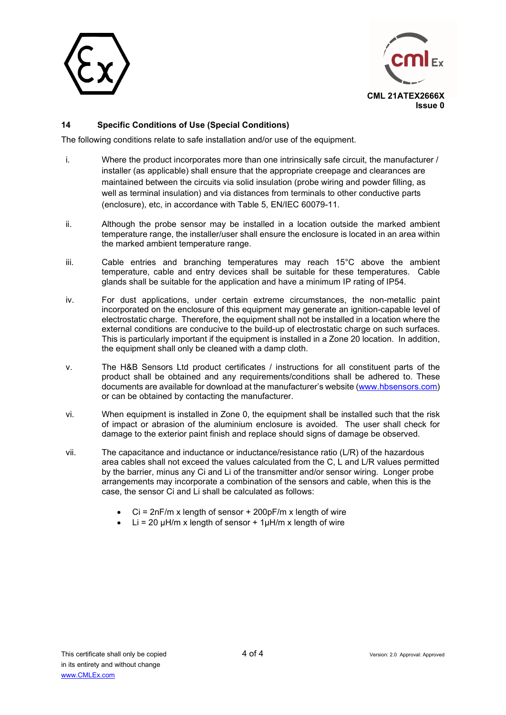



## **14 Specific Conditions of Use (Special Conditions)**

The following conditions relate to safe installation and/or use of the equipment.

- i. Where the product incorporates more than one intrinsically safe circuit, the manufacturer / installer (as applicable) shall ensure that the appropriate creepage and clearances are maintained between the circuits via solid insulation (probe wiring and powder filling, as well as terminal insulation) and via distances from terminals to other conductive parts (enclosure), etc, in accordance with Table 5, EN/IEC 60079-11.
- ii. Although the probe sensor may be installed in a location outside the marked ambient temperature range, the installer/user shall ensure the enclosure is located in an area within the marked ambient temperature range.
- iii. Cable entries and branching temperatures may reach 15°C above the ambient temperature, cable and entry devices shall be suitable for these temperatures. Cable glands shall be suitable for the application and have a minimum IP rating of IP54.
- iv. For dust applications, under certain extreme circumstances, the non-metallic paint incorporated on the enclosure of this equipment may generate an ignition-capable level of electrostatic charge. Therefore, the equipment shall not be installed in a location where the external conditions are conducive to the build-up of electrostatic charge on such surfaces. This is particularly important if the equipment is installed in a Zone 20 location. In addition, the equipment shall only be cleaned with a damp cloth.
- v. The H&B Sensors Ltd product certificates / instructions for all constituent parts of the product shall be obtained and any requirements/conditions shall be adhered to. These documents are available for download at the manufacturer's website [\(www.hbsensors.com](http://www.hbsensors.com/)) or can be obtained by contacting the manufacturer.
- vi. When equipment is installed in Zone 0, the equipment shall be installed such that the risk of impact or abrasion of the aluminium enclosure is avoided. The user shall check for damage to the exterior paint finish and replace should signs of damage be observed.
- vii. The capacitance and inductance or inductance/resistance ratio (L/R) of the hazardous area cables shall not exceed the values calculated from the C, L and L/R values permitted by the barrier, minus any Ci and Li of the transmitter and/or sensor wiring. Longer probe arrangements may incorporate a combination of the sensors and cable, when this is the case, the sensor Ci and Li shall be calculated as follows:
	- $Ci = 2nF/m x$  length of sensor  $+ 200pF/m x$  length of wire
	- Li = 20  $\mu$ H/m x length of sensor + 1 $\mu$ H/m x length of wire